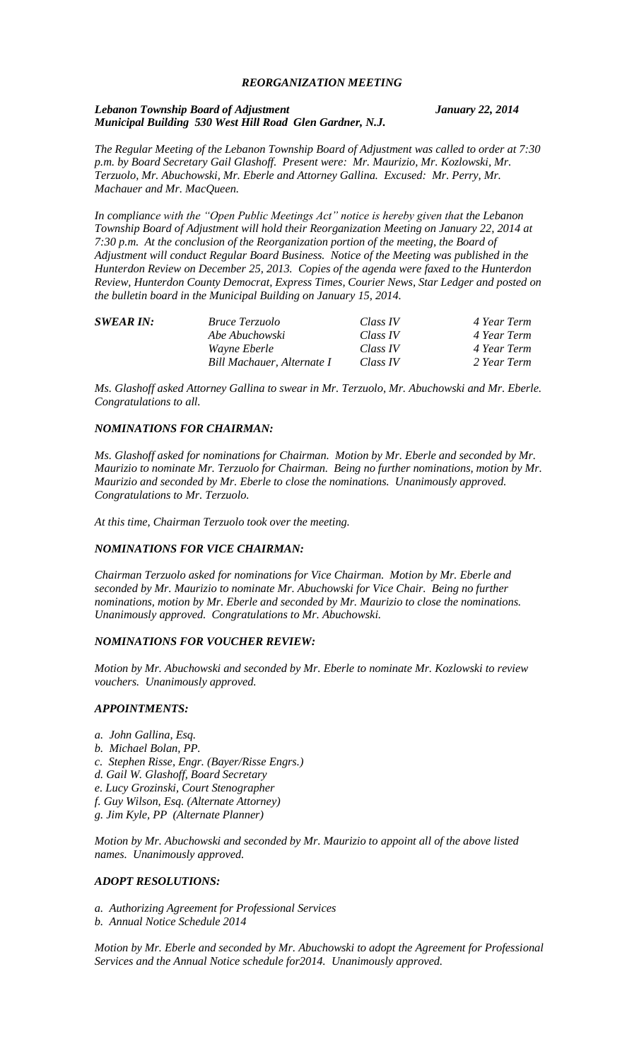### *REORGANIZATION MEETING*

#### *Lebanon Township Board of Adjustment January 22, 2014 Municipal Building 530 West Hill Road Glen Gardner, N.J.*

*The Regular Meeting of the Lebanon Township Board of Adjustment was called to order at 7:30 p.m. by Board Secretary Gail Glashoff. Present were: Mr. Maurizio, Mr. Kozlowski, Mr. Terzuolo, Mr. Abuchowski, Mr. Eberle and Attorney Gallina. Excused: Mr. Perry, Mr. Machauer and Mr. MacQueen.*

*In compliance with the "Open Public Meetings Act" notice is hereby given that the Lebanon Township Board of Adjustment will hold their Reorganization Meeting on January 22, 2014 at 7:30 p.m. At the conclusion of the Reorganization portion of the meeting, the Board of Adjustment will conduct Regular Board Business. Notice of the Meeting was published in the Hunterdon Review on December 25, 2013. Copies of the agenda were faxed to the Hunterdon Review, Hunterdon County Democrat, Express Times, Courier News, Star Ledger and posted on the bulletin board in the Municipal Building on January 15, 2014.*

| <b>SWEAR IN:</b> | <i>Bruce Terzuolo</i>      | Class IV | 4 Year Term |
|------------------|----------------------------|----------|-------------|
|                  | Abe Abuchowski             | Class IV | 4 Year Term |
|                  | <i>Wayne Eberle</i>        | Class IV | 4 Year Term |
|                  | Bill Machauer, Alternate I | Class IV | 2 Year Term |

*Ms. Glashoff asked Attorney Gallina to swear in Mr. Terzuolo, Mr. Abuchowski and Mr. Eberle. Congratulations to all.*

#### *NOMINATIONS FOR CHAIRMAN:*

*Ms. Glashoff asked for nominations for Chairman. Motion by Mr. Eberle and seconded by Mr. Maurizio to nominate Mr. Terzuolo for Chairman. Being no further nominations, motion by Mr. Maurizio and seconded by Mr. Eberle to close the nominations. Unanimously approved. Congratulations to Mr. Terzuolo.*

*At this time, Chairman Terzuolo took over the meeting.*

### *NOMINATIONS FOR VICE CHAIRMAN:*

*Chairman Terzuolo asked for nominations for Vice Chairman. Motion by Mr. Eberle and seconded by Mr. Maurizio to nominate Mr. Abuchowski for Vice Chair. Being no further nominations, motion by Mr. Eberle and seconded by Mr. Maurizio to close the nominations. Unanimously approved. Congratulations to Mr. Abuchowski.*

#### *NOMINATIONS FOR VOUCHER REVIEW:*

*Motion by Mr. Abuchowski and seconded by Mr. Eberle to nominate Mr. Kozlowski to review vouchers. Unanimously approved.*

#### *APPOINTMENTS:*

- *a. John Gallina, Esq.*
- *b. Michael Bolan, PP.*
- *c. Stephen Risse, Engr. (Bayer/Risse Engrs.)*
- *d. Gail W. Glashoff, Board Secretary*
- *e. Lucy Grozinski, Court Stenographer*
- *f. Guy Wilson, Esq. (Alternate Attorney)*
- *g. Jim Kyle, PP (Alternate Planner)*

*Motion by Mr. Abuchowski and seconded by Mr. Maurizio to appoint all of the above listed names. Unanimously approved.*

### *ADOPT RESOLUTIONS:*

*a. Authorizing Agreement for Professional Services b. Annual Notice Schedule 2014*

*Motion by Mr. Eberle and seconded by Mr. Abuchowski to adopt the Agreement for Professional Services and the Annual Notice schedule for2014. Unanimously approved.*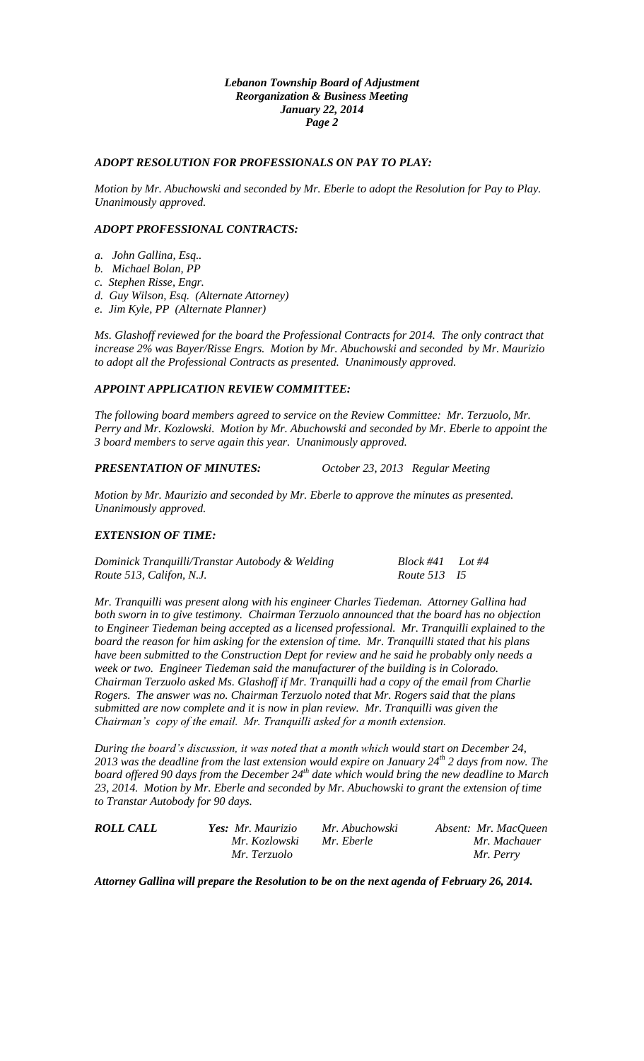#### *Lebanon Township Board of Adjustment Reorganization & Business Meeting January 22, 2014 Page 2*

### *ADOPT RESOLUTION FOR PROFESSIONALS ON PAY TO PLAY:*

*Motion by Mr. Abuchowski and seconded by Mr. Eberle to adopt the Resolution for Pay to Play. Unanimously approved.*

#### *ADOPT PROFESSIONAL CONTRACTS:*

- *a. John Gallina, Esq..*
- *b. Michael Bolan, PP*
- *c. Stephen Risse, Engr.*
- *d. Guy Wilson, Esq. (Alternate Attorney)*
- *e. Jim Kyle, PP (Alternate Planner)*

*Ms. Glashoff reviewed for the board the Professional Contracts for 2014. The only contract that increase 2% was Bayer/Risse Engrs. Motion by Mr. Abuchowski and seconded by Mr. Maurizio to adopt all the Professional Contracts as presented. Unanimously approved.*

# *APPOINT APPLICATION REVIEW COMMITTEE:*

*The following board members agreed to service on the Review Committee: Mr. Terzuolo, Mr. Perry and Mr. Kozlowski. Motion by Mr. Abuchowski and seconded by Mr. Eberle to appoint the 3 board members to serve again this year. Unanimously approved.*

# *PRESENTATION OF MINUTES: October 23, 2013 Regular Meeting*

*Motion by Mr. Maurizio and seconded by Mr. Eberle to approve the minutes as presented. Unanimously approved.*

### *EXTENSION OF TIME:*

*Dominick Tranquilli/Transtar Autobody & Welding Block #41 Lot #4 Route 513, Califon, N.J. Route 513 I5*

*Mr. Tranquilli was present along with his engineer Charles Tiedeman. Attorney Gallina had both sworn in to give testimony. Chairman Terzuolo announced that the board has no objection to Engineer Tiedeman being accepted as a licensed professional. Mr. Tranquilli explained to the board the reason for him asking for the extension of time. Mr. Tranquilli stated that his plans have been submitted to the Construction Dept for review and he said he probably only needs a week or two. Engineer Tiedeman said the manufacturer of the building is in Colorado. Chairman Terzuolo asked Ms. Glashoff if Mr. Tranquilli had a copy of the email from Charlie Rogers. The answer was no. Chairman Terzuolo noted that Mr. Rogers said that the plans submitted are now complete and it is now in plan review. Mr. Tranquilli was given the Chairman's copy of the email. Mr. Tranquilli asked for a month extension.* 

*During the board's discussion, it was noted that a month which would start on December 24, 2013 was the deadline from the last extension would expire on January 24th 2 days from now. The board offered 90 days from the December 24th date which would bring the new deadline to March 23, 2014. Motion by Mr. Eberle and seconded by Mr. Abuchowski to grant the extension of time to Transtar Autobody for 90 days.*

| <b>ROLL CALL</b> | Yes: Mr. Maurizio | Mr. Abuchowski | Absent: Mr. MacQueen |
|------------------|-------------------|----------------|----------------------|
|                  | Mr. Kozlowski     | Mr. Eberle     | Mr. Machauer         |
|                  | Mr. Terzuolo      |                | Mr. Perry            |

*Attorney Gallina will prepare the Resolution to be on the next agenda of February 26, 2014.*